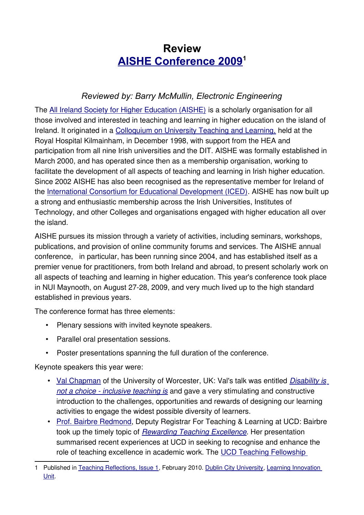## **Review [AISHE Conference 2009](http://ocs.aishe.org/aishe/index.php/international/2009/schedConf/presentations)[1](#page-0-0)**

## *Reviewed by: Barry McMullin, Electronic Engineering*

The [All Ireland Society for Higher Education \(AISHE\)](http://www.aishe.org/) is a scholarly organisation for all those involved and interested in teaching and learning in higher education on the island of Ireland. It originated in a [Colloquium on University Teaching and Learning,](http://www.aishe.org/iutn-cutl-1998/) held at the Royal Hospital Kilmainham, in December 1998, with support from the HEA and participation from all nine Irish universities and the DIT. AISHE was formally established in March 2000, and has operated since then as a membership organisation, working to facilitate the development of all aspects of teaching and learning in Irish higher education. Since 2002 AISHE has also been recognised as the representative member for Ireland of the [International Consortium for Educational Development \(ICED\).](http://www.osds.uwa.edu.au/iced) AISHE has now built up a strong and enthusiastic membership across the Irish Universities, Institutes of Technology, and other Colleges and organisations engaged with higher education all over the island.

AISHE pursues its mission through a variety of activities, including seminars, workshops, publications, and provision of online community forums and services. The AISHE annual conference, in particular, has been running since 2004, and has established itself as a premier venue for practitioners, from both Ireland and abroad, to present scholarly work on all aspects of teaching and learning in higher education. This year's conference took place in NUI Maynooth, on August 27-28, 2009, and very much lived up to the high standard established in previous years.

The conference format has three elements:

- Plenary sessions with invited keynote speakers.
- Parallel oral presentation sessions.
- Poster presentations spanning the full duration of the conference.

Keynote speakers this year were:

- • [Val Chapman](http://ocs.aishe.org/index.php/international/2009/rt/bio/141/0) of the University of Worcester, UK: Val's talk was entitled [Disability is](http://ocs.aishe.org/index.php/international/2009/paper/view/141) [not a choice - inclusive teaching is](http://ocs.aishe.org/index.php/international/2009/paper/view/141) and gave a very stimulating and constructive introduction to the challenges, opportunities and rewards of designing our learning activities to engage the widest possible diversity of learners.
- • [Prof. Bairbre Redmond,](http://ocs.aishe.org/aishe/index.php/international/2009/rt/bio/143/0) Deputy Registrar For Teaching & Learning at UCD: Bairbre took up the timely topic of [Rewarding Teaching Excellence](http://ocs.aishe.org/aishe/index.php/international/2009/paper/view/143). Her presentation summarised recent experiences at UCD in seeking to recognise and enhance the role of teaching excellence in academic work. The [UCD Teaching Fellowship](http://www.ucd.ie/fellows/)

<span id="page-0-0"></span><sup>1</sup> Published in [Teaching Reflections, Issue 1,](http://www4.dcu.ie/ovpli/liu/Teaching-Reflections/Issue-1/index.shtml) February 2010. [Dublin City University,](http://www.dcu.ie/) [Learning Innovation](http://www4.dcu.ie/ovpli/liu/index.shtml) [Unit.](http://www4.dcu.ie/ovpli/liu/index.shtml)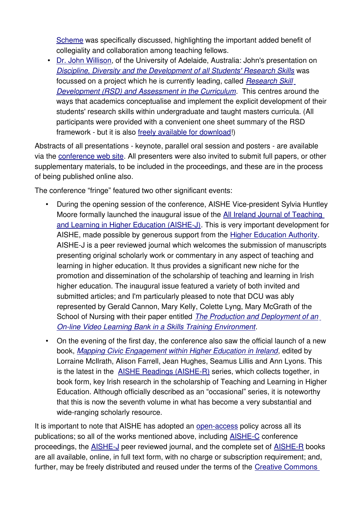[Scheme](http://www.ucd.ie/fellows/) was specifically discussed, highlighting the important added benefit of collegiality and collaboration among teaching fellows.

• [Dr. John Willison,](http://ocs.aishe.org/aishe/index.php/international/2009/rt/bio/144/0) of the University of Adelaide, Australia: John's presentation on [Discipline, Diversity and the Development of all Students' Research Skills](http://ocs.aishe.org/aishe/index.php/international/2009/paper/view/144) was focussed on a project which he is currently leading, called [Research Skill](http://www.adelaide.edu.au/clpd/rsd/) [Development \(RSD\) and Assessment in the Curriculum](http://www.adelaide.edu.au/clpd/rsd/). This centres around the ways that academics conceptualise and implement the explicit development of their students' research skills within undergraduate and taught masters curricula. (All participants were provided with a convenient one sheet summary of the RSD framework - but it is also [freely available for download!](http://www.adelaide.edu.au/clpd/rsd/framework/))

Abstracts of all presentations - keynote, parallel oral session and posters - are available via the [conference web site.](http://ocs.aishe.org/aishe/index.php/international/2009/schedConf/presentations) All presenters were also invited to submit full papers, or other supplementary materials, to be included in the proceedings, and these are in the process of being published online also.

The conference "fringe" featured two other significant events:

- During the opening session of the conference, AISHE Vice-president Sylvia Huntley Moore formally launched the inaugural issue of the [All Ireland Journal of Teaching](http://ojs.aishe.org/) [and Learning in Higher Education \(AISHE-J\).](http://ojs.aishe.org/) This is very important development for AISHE, made possible by generous support from the [Higher Education Authority.](http://www.hea.ie/) AISHE-J is a peer reviewed journal which welcomes the submission of manuscripts presenting original scholarly work or commentary in any aspect of teaching and learning in higher education. It thus provides a significant new niche for the promotion and dissemination of the scholarship of teaching and learning in Irish higher education. The inaugural issue featured a variety of both invited and submitted articles; and I'm particularly pleased to note that DCU was ably represented by Gerald Cannon, Mary Kelly, Colette Lyng, Mary McGrath of the School of Nursing with their paper entitled [The Production and Deployment of an](http://ojs.aishe.org/index.php/aishe-j/article/view/3) [On-line Video Learning Bank in a Skills Training Environment](http://ojs.aishe.org/index.php/aishe-j/article/view/3).
- On the evening of the first day, the conference also saw the official launch of a new book, [Mapping Civic Engagement within Higher Education in Ireland](http://www.aishe.org/readings/2009-1/), edited by Lorraine McIlrath, Alison Farrell, Jean Hughes, Seamus Lillis and Ann Lyons. This is the latest in the [AISHE Readings \(AISHE-R\)](http://www.aishe.org/readings/) series, which collects together, in book form, key Irish research in the scholarship of Teaching and Learning in Higher Education. Although officially described as an "occasional" series, it is noteworthy that this is now the seventh volume in what has become a very substantial and wide-ranging scholarly resource.

It is important to note that AISHE has adopted an [open-access](http://en.wikipedia.org/wiki/Open_access_publishing) policy across all its publications; so all of the works mentioned above, including [AISHE-C](http://www.aishe.org/aishe-c/) conference proceedings, the [AISHE-J](http://ojs.aishe.org/) peer reviewed journal, and the complete set of [AISHE-R](http://www.aishe.org/readings/) books are all available, online, in full text form, with no charge or subscription requirement; and, further, may be freely distributed and reused under the terms of the [Creative Commons](http://creativecommons.org/licenses/by-nc-sa/3.0/)